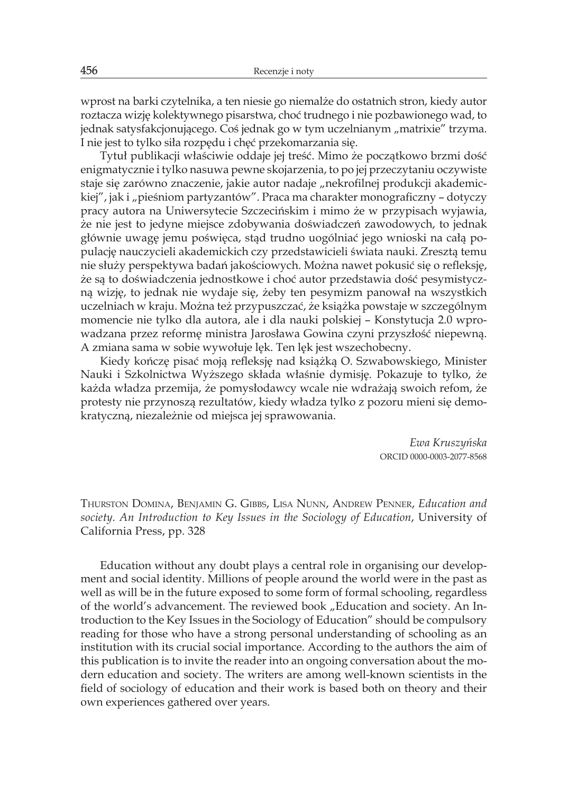Thurston Domina, Benjamin G. Gibbs, Lisa Nunn, Andrew Penner, *Education and society. An Introduction to Key Issues in the Sociology of Education*, University of California Press, pp. 328

Education without any doubt plays a central role in organising our development and social identity. Millions of people around the world were in the past as well as will be in the future exposed to some form of formal schooling, regardless of the world's advancement. The reviewed book "Education and society. An Introduction to the Key Issues in the Sociology of Education" should be compulsory reading for those who have a strong personal understanding of schooling as an institution with its crucial social importance. According to the authors the aim of this publication is to invite the reader into an ongoing conversation about the modern education and society. The writers are among well-known scientists in the field of sociology of education and their work is based both on theory and their own experiences gathered over years.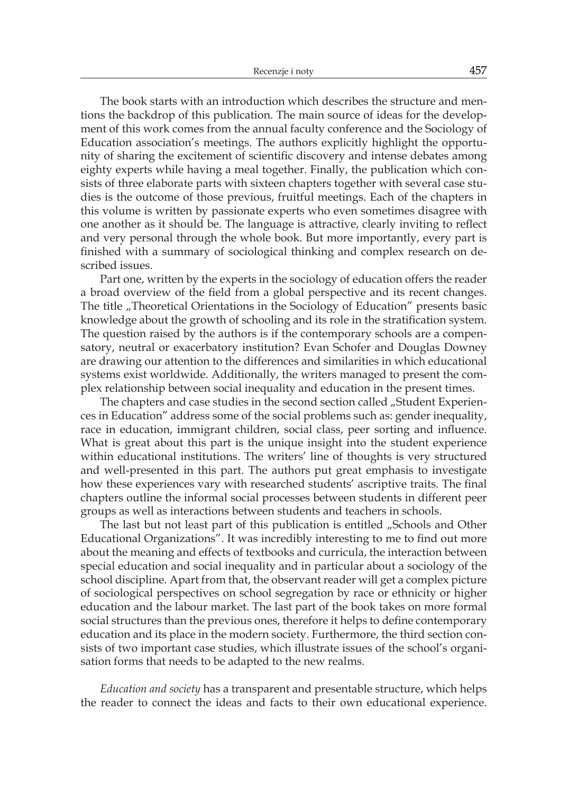The book starts with an introduction which describes the structure and mentions the backdrop of this publication. The main source of ideas for the development of this work comes from the annual faculty conference and the Sociology of Education association's meetings. The authors explicitly highlight the opportunity of sharing the excitement of scientific discovery and intense debates among eighty experts while having a meal together. Finally, the publication which consists of three elaborate parts with sixteen chapters together with several case studies is the outcome of those previous, fruitful meetings. Each of the chapters in this volume is written by passionate experts who even sometimes disagree with one another as it should be. The language is attractive, clearly inviting to reflect and very personal through the whole book. But more importantly, every part is finished with a summary of sociological thinking and complex research on described issues.

Part one, written by the experts in the sociology of education offers the reader a broad overview of the field from a global perspective and its recent changes. The title "Theoretical Orientations in the Sociology of Education" presents basic knowledge about the growth of schooling and its role in the stratification system. The question raised by the authors is if the contemporary schools are a compensatory, neutral or exacerbatory institution? Evan Schofer and Douglas Downey are drawing our attention to the differences and similarities in which educational systems exist worldwide. Additionally, the writers managed to present the complex relationship between social inequality and education in the present times.

The chapters and case studies in the second section called "Student Experiences in Education" address some of the social problems such as: gender inequality, race in education, immigrant children, social class, peer sorting and influence. What is great about this part is the unique insight into the student experience within educational institutions. The writers' line of thoughts is very structured and well-presented in this part. The authors put great emphasis to investigate how these experiences vary with researched students' ascriptive traits. The final chapters outline the informal social processes between students in different peer groups as well as interactions between students and teachers in schools.

The last but not least part of this publication is entitled "Schools and Other Educational Organizations". It was incredibly interesting to me to find out more about the meaning and effects of textbooks and curricula, the interaction between special education and social inequality and in particular about a sociology of the school discipline. Apart from that, the observant reader will get a complex picture of sociological perspectives on school segregation by race or ethnicity or higher education and the labour market. The last part of the book takes on more formal social structures than the previous ones, therefore it helps to define contemporary education and its place in the modern society. Furthermore, the third section consists of two important case studies, which illustrate issues of the school's organisation forms that needs to be adapted to the new realms.

*Education and society* has a transparent and presentable structure, which helps the reader to connect the ideas and facts to their own educational experience.